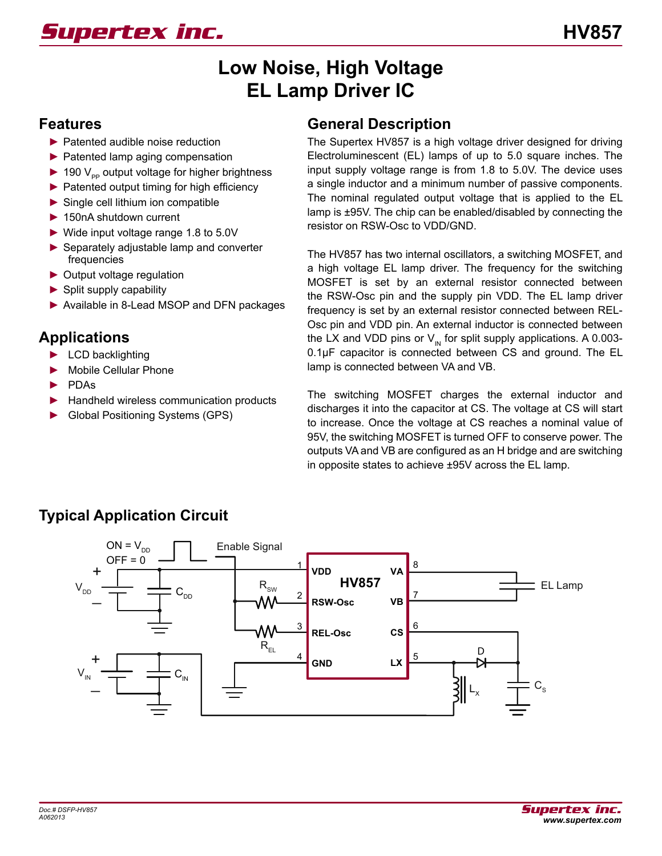# **Low Noise, High Voltage EL Lamp Driver IC**

#### **Features**

- ► Patented audible noise reduction
- ► Patented lamp aging compensation
- $\blacktriangleright$  190  $\vee$ <sub>pp</sub> output voltage for higher brightness
- ► Patented output timing for high efficiency
- ► Single cell lithium ion compatible
- ► 150nA shutdown current
- ► Wide input voltage range 1.8 to 5.0V
- ► Separately adjustable lamp and converter frequencies
- ► Output voltage regulation
- $\blacktriangleright$  Split supply capability
- ► Available in 8-Lead MSOP and DFN packages

## **Applications**

- ► LCD backlighting
- Mobile Cellular Phone
- ► PDAs
- ► Handheld wireless communication products
- ► Global Positioning Systems (GPS)

#### **General Description**

The Supertex HV857 is a high voltage driver designed for driving Electroluminescent (EL) lamps of up to 5.0 square inches. The input supply voltage range is from 1.8 to 5.0V. The device uses a single inductor and a minimum number of passive components. The nominal regulated output voltage that is applied to the EL lamp is ±95V. The chip can be enabled/disabled by connecting the resistor on RSW-Osc to VDD/GND.

The HV857 has two internal oscillators, a switching MOSFET, and a high voltage EL lamp driver. The frequency for the switching MOSFET is set by an external resistor connected between the RSW-Osc pin and the supply pin VDD. The EL lamp driver frequency is set by an external resistor connected between REL-Osc pin and VDD pin. An external inductor is connected between the LX and VDD pins or  $V_{\text{in}}$  for split supply applications. A 0.003-0.1µF capacitor is connected between CS and ground. The EL lamp is connected between VA and VB.

The switching MOSFET charges the external inductor and discharges it into the capacitor at CS. The voltage at CS will start to increase. Once the voltage at CS reaches a nominal value of 95V, the switching MOSFET is turned OFF to conserve power. The outputs VA and VB are configured as an H bridge and are switching in opposite states to achieve ±95V across the EL lamp.



## **Typical Application Circuit**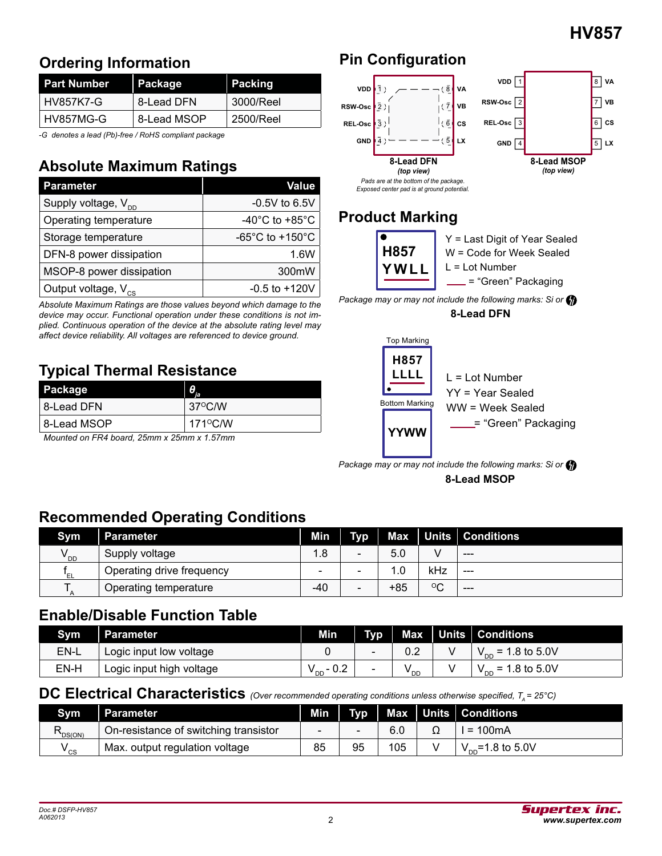## **Ordering Information**

| <b>Part Number</b> | Package     | Packing   |
|--------------------|-------------|-----------|
| HV857K7-G          | 8-Lead DFN  | 3000/Reel |
| HV857MG-G          | 8-Lead MSOP | 2500/Reel |

*-G denotes a lead (Pb)-free / RoHS compliant package*

# **Absolute Maximum Ratings**

| <b>Parameter</b>                | Value                                 |
|---------------------------------|---------------------------------------|
| Supply voltage, V <sub>DD</sub> | $-0.5V$ to 6.5V                       |
| Operating temperature           | -40 $^{\circ}$ C to +85 $^{\circ}$ C  |
| Storage temperature             | -65 $^{\circ}$ C to +150 $^{\circ}$ C |
| DFN-8 power dissipation         | 1.6W                                  |
| MSOP-8 power dissipation        | 300mW                                 |
| Output voltage, V <sub>cs</sub> | $-0.5$ to $+120V$                     |

*Absolute Maximum Ratings are those values beyond which damage to the device may occur. Functional operation under these conditions is not implied. Continuous operation of the device at the absolute rating level may affect device reliability. All voltages are referenced to device ground.*

# **Typical Thermal Resistance**

| <b>Package</b>                                       | TA.               |
|------------------------------------------------------|-------------------|
| 8-Lead DFN                                           | $37^{\circ}$ C/W  |
| ∣8-Lead MSOP                                         | $171^{\circ}$ C/W |
| . .<br>$\sim$ $\sim$ $\sim$<br>.<br>-- - -<br>$\sim$ | .                 |

*Mounted on FR4 board, 25mm x 25mm x 1.57mm*

# **Pin Configuration**



## **Product Marking**



*Package may or may not include the following marks: Si or*

**8-Lead DFN** 



**8-Lead MSOP**  *Package may or may not include the following marks: Si or*

## **Recommended Operating Conditions**

| Sym      | ∣ Parameter               | Min |                          |       |             | Typ Max Units Conditions |
|----------|---------------------------|-----|--------------------------|-------|-------------|--------------------------|
| $V_{DD}$ | Supply voltage            | 1.8 | $\sim$                   | 5.0   |             | $- - -$                  |
| 'EL      | Operating drive frequency |     |                          | . 0   | kHz         | $- - -$                  |
|          | Operating temperature     | -40 | $\overline{\phantom{0}}$ | $+85$ | $\rm ^{o}C$ | $- - -$                  |

#### **Enable/Disable Function Table**

| Svm  | <b>Parameter</b>         | Min                     | <b>TWO</b> |      | Max $\vert$ Units $\vert$ Conditions |
|------|--------------------------|-------------------------|------------|------|--------------------------------------|
| EN-L | Logic input low voltage  |                         |            |      | $= 1.8$ to 5.0V<br>חח י              |
| EN-H | Logic input high voltage | $\cap$<br>$V_{DD}$<br>- |            | ' DD | $= 1.8$ to 5.0V<br>$V_{DD}$          |

## **DC Electrical Characteristics** *(Over recommended operating conditions unless otherwise specified, T<sub>A</sub> = 25°C)*

| Svm    | Parameter                             | Min |    |     | Typ   Max   Units   Conditions            |
|--------|---------------------------------------|-----|----|-----|-------------------------------------------|
| DS(ON) | On-resistance of switching transistor |     |    | 6.0 | l = 100mA                                 |
| ' cs   | Max. output regulation voltage        | 85  | 95 | 105 | $\approx$ =1.8 to 5.0V<br>$V_{\text{nn}}$ |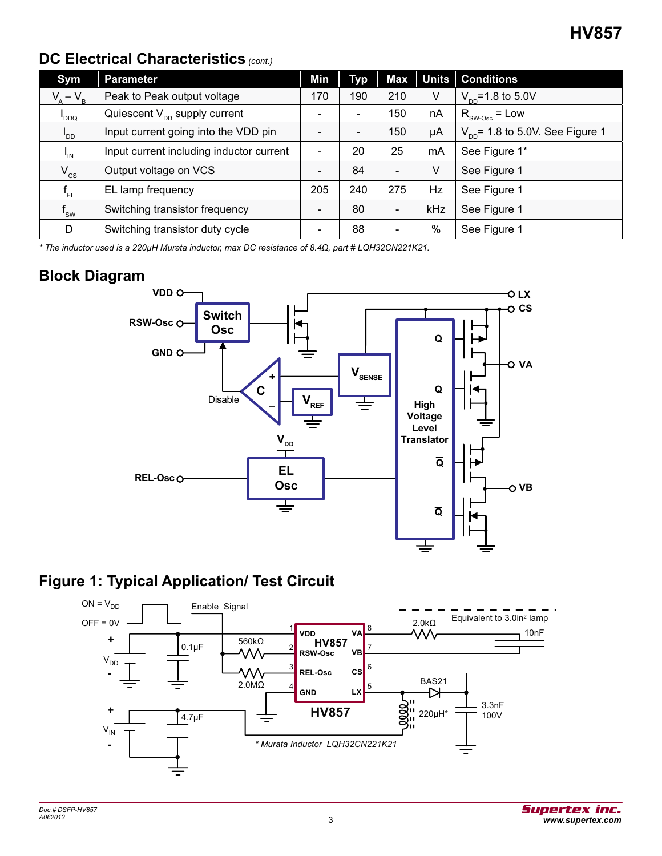## **DC Electrical Characteristics** *(cont.)*

| Sym              | <b>Parameter</b>                         | Min | <b>Typ</b> | Max                      |      | Units   Conditions                          |
|------------------|------------------------------------------|-----|------------|--------------------------|------|---------------------------------------------|
| $V_{A} - V_{B}$  | Peak to Peak output voltage              | 170 | 190        | 210                      | V    | $V_{\text{nn}}$ =1.8 to 5.0V                |
| DDQ <sup>I</sup> | Quiescent $V_{\text{nn}}$ supply current |     |            | 150                      | nA   | $R_{\text{SW-Osc}}$ = Low                   |
| $I_{DD}$         | Input current going into the VDD pin     |     |            | 150                      | μA   | $V_{\text{nn}}$ = 1.8 to 5.0V. See Figure 1 |
| $I_{\text{IN}}$  | Input current including inductor current | -   | 20         | 25                       | mA   | See Figure 1*                               |
| $V_{\rm cs}$     | Output voltage on VCS                    | -   | 84         | $\overline{\phantom{0}}$ | V    | See Figure 1                                |
| $f_{\rm EL}$     | EL lamp frequency                        | 205 | 240        | 275                      | Hz   | See Figure 1                                |
| $f_{\rm sw}$     | Switching transistor frequency           |     | 80         | $\overline{\phantom{a}}$ | kHz  | See Figure 1                                |
| D                | Switching transistor duty cycle          |     | 88         | $\blacksquare$           | $\%$ | See Figure 1                                |

*\* The inductor used is a 220µH Murata inductor, max DC resistance of 8.4Ω, part # LQH32CN221K21.*

#### **Block Diagram**



## **Figure 1: Typical Application/ Test Circuit**

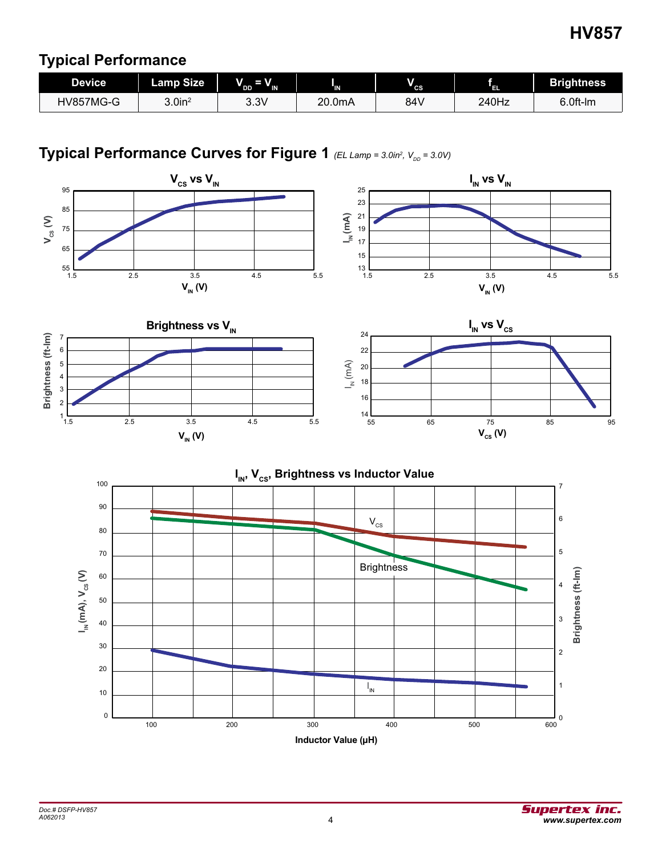#### **Typical Performance**

| <b>Device</b> | <b>Lamp Size</b>      | $\rightarrow$<br>" DD '<br>" IN | 'N.    | V<br>" cs | ЧŦ.   | <b>Brightness</b> |  |
|---------------|-----------------------|---------------------------------|--------|-----------|-------|-------------------|--|
| HV857MG-G     | $3.0$ in <sup>2</sup> | 3.3V                            | 20.0mA | 84 V      | 240Hz | 6.0ft-lm          |  |

#### **Typical Performance Curves for Figure 1** *(EL Lamp = 3.0in<sup>2</sup> , VDD = 3.0V)*

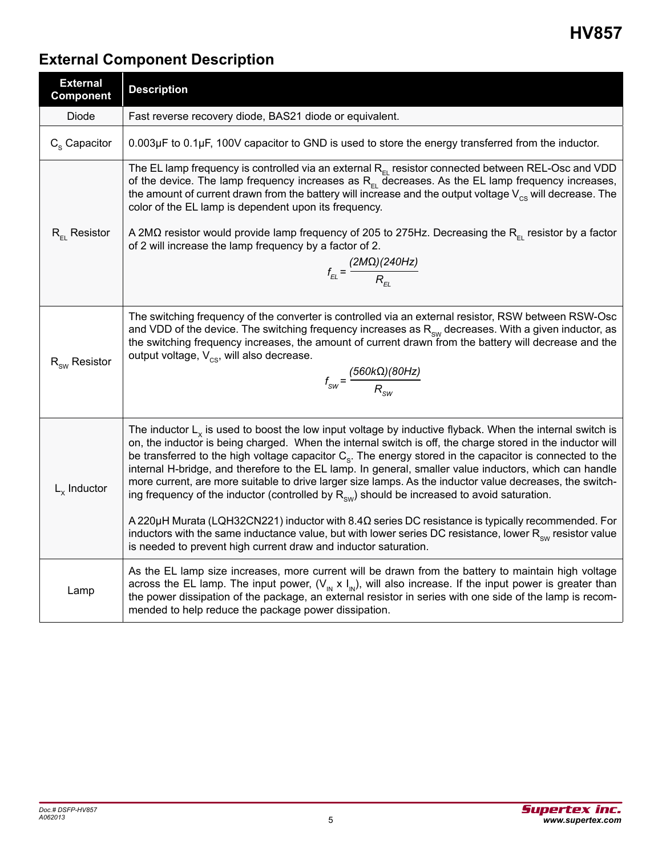# **External Component Description**

| <b>External</b><br><b>Component</b> | <b>Description</b>                                                                                                                                                                                                                                                                                                                                                                                                                                                                                                                                                                                                                                                             |
|-------------------------------------|--------------------------------------------------------------------------------------------------------------------------------------------------------------------------------------------------------------------------------------------------------------------------------------------------------------------------------------------------------------------------------------------------------------------------------------------------------------------------------------------------------------------------------------------------------------------------------------------------------------------------------------------------------------------------------|
| Diode                               | Fast reverse recovery diode, BAS21 diode or equivalent.                                                                                                                                                                                                                                                                                                                                                                                                                                                                                                                                                                                                                        |
| $C_{\rm s}$ Capacitor               | $0.003\mu$ F to $0.1\mu$ F, 100V capacitor to GND is used to store the energy transferred from the inductor.                                                                                                                                                                                                                                                                                                                                                                                                                                                                                                                                                                   |
|                                     | The EL lamp frequency is controlled via an external $R_{F}$ resistor connected between REL-Osc and VDD<br>of the device. The lamp frequency increases as $R_{\rm EL}$ decreases. As the EL lamp frequency increases,<br>the amount of current drawn from the battery will increase and the output voltage $V_{cs}$ will decrease. The<br>color of the EL lamp is dependent upon its frequency.                                                                                                                                                                                                                                                                                 |
| $R_{F1}$ Resistor                   | A 2M $\Omega$ resistor would provide lamp frequency of 205 to 275Hz. Decreasing the R <sub>EL</sub> resistor by a factor<br>of 2 will increase the lamp frequency by a factor of 2.<br>$f_{_{EL}} = \frac{(2M\Omega)(240Hz)}{R_{_{FI}}}$                                                                                                                                                                                                                                                                                                                                                                                                                                       |
| $R_{\text{sw}}$ Resistor            | The switching frequency of the converter is controlled via an external resistor, RSW between RSW-Osc<br>and VDD of the device. The switching frequency increases as $R_{\text{sw}}$ decreases. With a given inductor, as<br>the switching frequency increases, the amount of current drawn from the battery will decrease and the<br>output voltage, $V_{\text{cs}}$ , will also decrease.<br>$f_{\text{SW}} = \frac{(560 \text{k}\Omega)(80 \text{Hz})}{R_{\text{SW}}}$                                                                                                                                                                                                       |
| $L_{x}$ Inductor                    | The inductor $Lx$ is used to boost the low input voltage by inductive flyback. When the internal switch is<br>on, the inductor is being charged. When the internal switch is off, the charge stored in the inductor will<br>be transferred to the high voltage capacitor $C_{\rm s}$ . The energy stored in the capacitor is connected to the<br>internal H-bridge, and therefore to the EL lamp. In general, smaller value inductors, which can handle<br>more current, are more suitable to drive larger size lamps. As the inductor value decreases, the switch-<br>ing frequency of the inductor (controlled by $R_{\text{sw}}$ ) should be increased to avoid saturation. |
|                                     | A 220 $\mu$ H Murata (LQH32CN221) inductor with 8.4 $\Omega$ series DC resistance is typically recommended. For<br>inductors with the same inductance value, but with lower series DC resistance, lower $R_{\rm sw}$ resistor value<br>is needed to prevent high current draw and inductor saturation.                                                                                                                                                                                                                                                                                                                                                                         |
| Lamp                                | As the EL lamp size increases, more current will be drawn from the battery to maintain high voltage<br>across the EL lamp. The input power, $(V_{N} \times I_{N})$ , will also increase. If the input power is greater than<br>the power dissipation of the package, an external resistor in series with one side of the lamp is recom-<br>mended to help reduce the package power dissipation.                                                                                                                                                                                                                                                                                |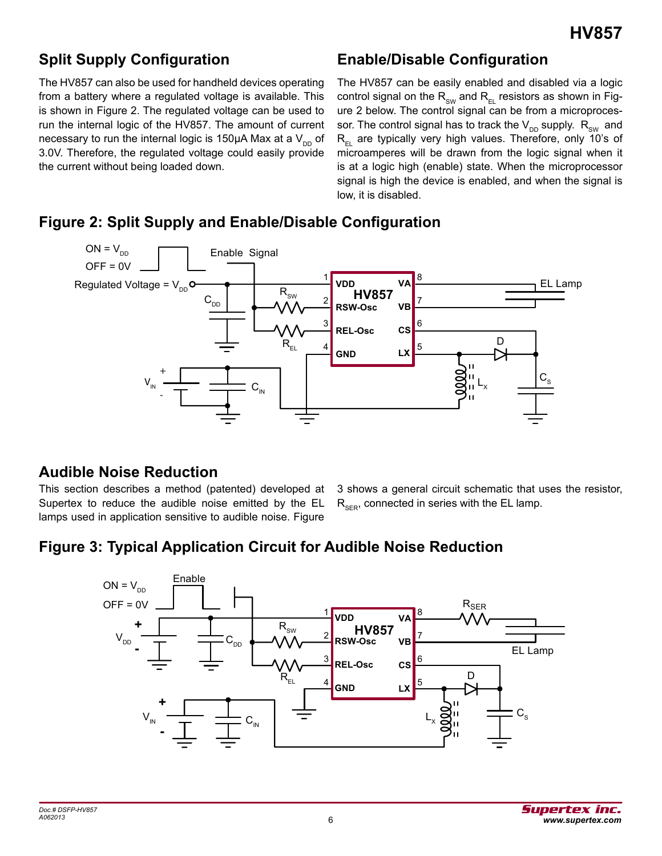## **Split Supply Configuration**

The HV857 can also be used for handheld devices operating from a battery where a regulated voltage is available. This is shown in Figure 2. The regulated voltage can be used to run the internal logic of the HV857. The amount of current necessary to run the internal logic is 150 $\mu$ A Max at a V<sub>DD</sub> of 3.0V. Therefore, the regulated voltage could easily provide the current without being loaded down.

#### **Enable/Disable Configuration**

The HV857 can be easily enabled and disabled via a logic control signal on the  $R_{sw}$  and  $R_{EL}$  resistors as shown in Figure 2 below. The control signal can be from a microprocessor. The control signal has to track the  $V_{DD}$  supply.  $R_{SW}$  and  $R_{F1}$  are typically very high values. Therefore, only 10's of microamperes will be drawn from the logic signal when it is at a logic high (enable) state. When the microprocessor signal is high the device is enabled, and when the signal is low, it is disabled.



#### **Figure 2: Split Supply and Enable/Disable Configuration**

#### **Audible Noise Reduction**

This section describes a method (patented) developed at Supertex to reduce the audible noise emitted by the EL lamps used in application sensitive to audible noise. Figure

3 shows a general circuit schematic that uses the resistor,  $R_{\text{SFR}}$ , connected in series with the EL lamp.

## **Figure 3: Typical Application Circuit for Audible Noise Reduction**

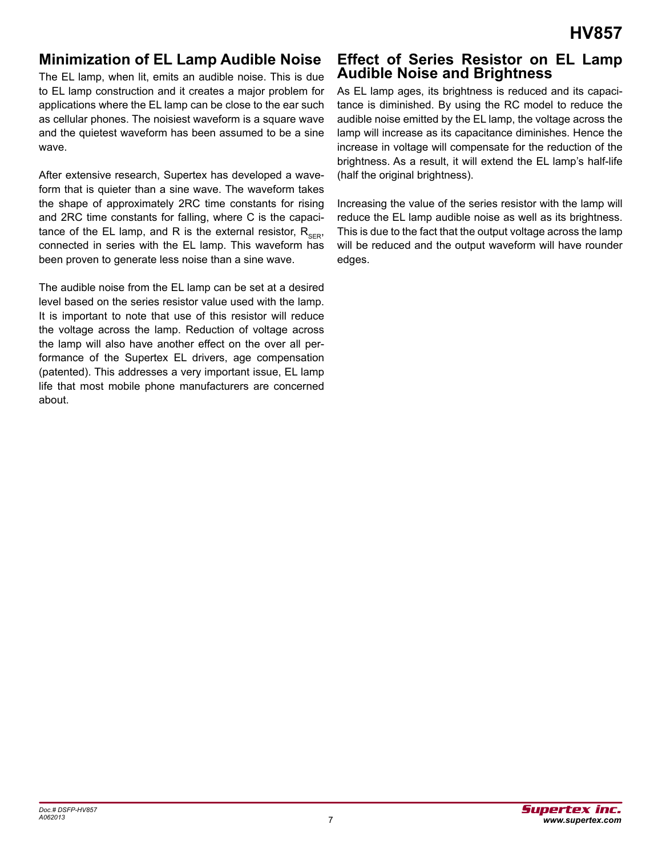#### **Minimization of EL Lamp Audible Noise**

The EL lamp, when lit, emits an audible noise. This is due to EL lamp construction and it creates a major problem for applications where the EL lamp can be close to the ear such as cellular phones. The noisiest waveform is a square wave and the quietest waveform has been assumed to be a sine wave.

After extensive research, Supertex has developed a waveform that is quieter than a sine wave. The waveform takes the shape of approximately 2RC time constants for rising and 2RC time constants for falling, where C is the capacitance of the EL lamp, and R is the external resistor,  $R_{\text{SFR}}$ , connected in series with the EL lamp. This waveform has been proven to generate less noise than a sine wave.

The audible noise from the EL lamp can be set at a desired level based on the series resistor value used with the lamp. It is important to note that use of this resistor will reduce the voltage across the lamp. Reduction of voltage across the lamp will also have another effect on the over all performance of the Supertex EL drivers, age compensation (patented). This addresses a very important issue, EL lamp life that most mobile phone manufacturers are concerned about.

#### **Effect of Series Resistor on EL Lamp Audible Noise and Brightness**

As EL lamp ages, its brightness is reduced and its capacitance is diminished. By using the RC model to reduce the audible noise emitted by the EL lamp, the voltage across the lamp will increase as its capacitance diminishes. Hence the increase in voltage will compensate for the reduction of the brightness. As a result, it will extend the EL lamp's half-life (half the original brightness).

Increasing the value of the series resistor with the lamp will reduce the EL lamp audible noise as well as its brightness. This is due to the fact that the output voltage across the lamp will be reduced and the output waveform will have rounder edges.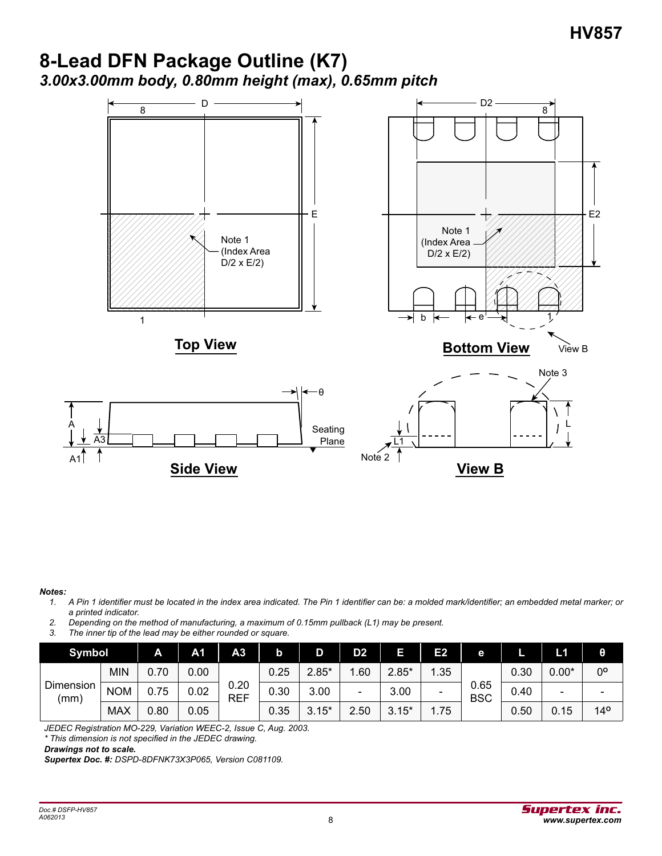## **8-Lead DFN Package Outline (K7)** *3.00x3.00mm body, 0.80mm height (max), 0.65mm pitch*



#### *Notes:*

A

- *1. A Pin 1 identifier must be located in the index area indicated. The Pin 1 identifier can be: a molded mark/identifier; an embedded metal marker; or a printed indicator.*
- *2. Depending on the method of manufacturing, a maximum of 0.15mm pullback (L1) may be present.*
- *3. The inner tip of the lead may be either rounded or square.*

| Symbol            |            | A    | A1   | A <sub>3</sub>     | b    | D       | D <sub>2</sub> | Е       | Е2                       | е                  |      | L1      | θ               |
|-------------------|------------|------|------|--------------------|------|---------|----------------|---------|--------------------------|--------------------|------|---------|-----------------|
| Dimension<br>(mm) | MIN        | 0.70 | 0.00 |                    | 0.25 | $2.85*$ | .60            | $2.85*$ | .35                      | 0.65<br><b>BSC</b> | 0.30 | $0.00*$ | 0°              |
|                   | <b>NOM</b> | 0.75 | 0.02 | 0.20<br><b>REF</b> | 0.30 | 3.00    | -              | 3.00    | $\overline{\phantom{0}}$ |                    | 0.40 | -       |                 |
|                   | <b>MAX</b> | 0.80 | 0.05 |                    | 0.35 | $3.15*$ | 2.50           | $3.15*$ | 1.75                     |                    | 0.50 | 0.15    | 14 <sup>o</sup> |

*JEDEC Registration MO-229, Variation WEEC-2, Issue C, Aug. 2003.*

*\* This dimension is not specified in the JEDEC drawing.*

*Drawings not to scale.*

*Supertex Doc. #: DSPD-8DFNK73X3P065, Version C081109.*